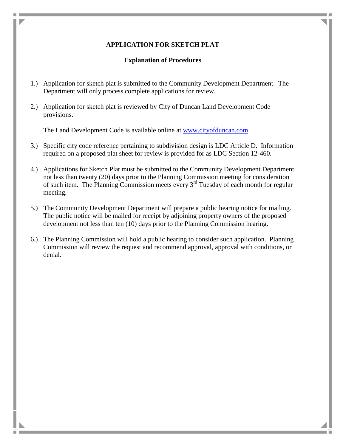## **APPLICATION FOR SKETCH PLAT**

## **Explanation of Procedures**

- 1.) Application for sketch plat is submitted to the Community Development Department. The Department will only process complete applications for review.
- 2.) Application for sketch plat is reviewed by City of Duncan Land Development Code provisions.

The Land Development Code is available online at [www.cityofduncan.com.](http://www.cityofduncan.com/)

- 3.) Specific city code reference pertaining to subdivision design is LDC Article D. Information required on a proposed plat sheet for review is provided for as LDC Section 12-460.
- 4.) Applications for Sketch Plat must be submitted to the Community Development Department not less than twenty (20) days prior to the Planning Commission meeting for consideration of such item. The Planning Commission meets every  $3<sup>rd</sup>$  Tuesday of each month for regular meeting.
- 5.) The Community Development Department will prepare a public hearing notice for mailing. The public notice will be mailed for receipt by adjoining property owners of the proposed development not less than ten (10) days prior to the Planning Commission hearing.
- 6.) The Planning Commission will hold a public hearing to consider such application. Planning Commission will review the request and recommend approval, approval with conditions, or denial.